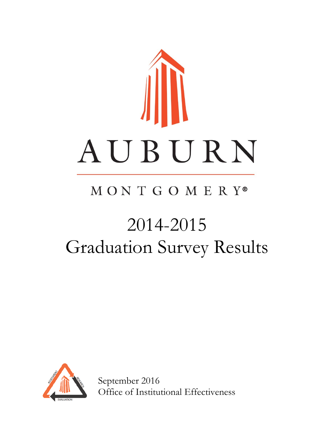

# MONTGOMERY®

# 2014-2015 Graduation Survey Results



September 2016 Office of Institutional Effectiveness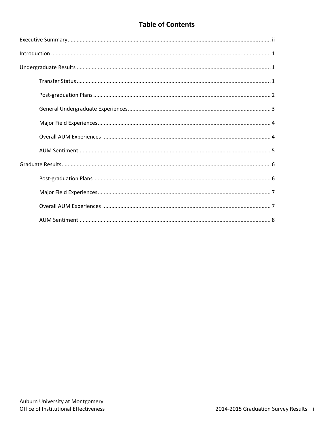# **Table of Contents**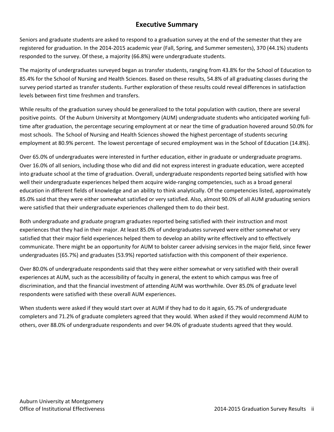### **Executive Summary**

Seniors and graduate students are asked to respond to a graduation survey at the end of the semester that they are registered for graduation. In the 2014‐2015 academic year (Fall, Spring, and Summer semesters), 370 (44.1%) students responded to the survey. Of these, a majority (66.8%) were undergraduate students.

The majority of undergraduates surveyed began as transfer students, ranging from 43.8% for the School of Education to 85.4% for the School of Nursing and Health Sciences. Based on these results, 54.8% of all graduating classes during the survey period started as transfer students. Further exploration of these results could reveal differences in satisfaction levels between first time freshmen and transfers.

While results of the graduation survey should be generalized to the total population with caution, there are several positive points. Of the Auburn University at Montgomery (AUM) undergraduate students who anticipated working full‐ time after graduation, the percentage securing employment at or near the time of graduation hovered around 50.0% for most schools. The School of Nursing and Health Sciences showed the highest percentage of students securing employment at 80.9% percent. The lowest percentage of secured employment was in the School of Education (14.8%).

Over 65.0% of undergraduates were interested in further education, either in graduate or undergraduate programs. Over 16.0% of all seniors, including those who did and did not express interest in graduate education, were accepted into graduate school at the time of graduation. Overall, undergraduate respondents reported being satisfied with how well their undergraduate experiences helped them acquire wide-ranging competencies, such as a broad general education in different fields of knowledge and an ability to think analytically. Of the competencies listed, approximately 85.0% said that they were either somewhat satisfied or very satisfied. Also, almost 90.0% of all AUM graduating seniors were satisfied that their undergraduate experiences challenged them to do their best.

Both undergraduate and graduate program graduates reported being satisfied with their instruction and most experiences that they had in their major. At least 85.0% of undergraduates surveyed were either somewhat or very satisfied that their major field experiences helped them to develop an ability write effectively and to effectively communicate. There might be an opportunity for AUM to bolster career advising services in the major field, since fewer undergraduates (65.7%) and graduates (53.9%) reported satisfaction with this component of their experience.

Over 80.0% of undergraduate respondents said that they were either somewhat or very satisfied with their overall experiences at AUM, such as the accessibility of faculty in general, the extent to which campus was free of discrimination, and that the financial investment of attending AUM was worthwhile. Over 85.0% of graduate level respondents were satisfied with these overall AUM experiences.

When students were asked if they would start over at AUM if they had to do it again, 65.7% of undergraduate completers and 71.2% of graduate completers agreed that they would. When asked if they would recommend AUM to others, over 88.0% of undergraduate respondents and over 94.0% of graduate students agreed that they would.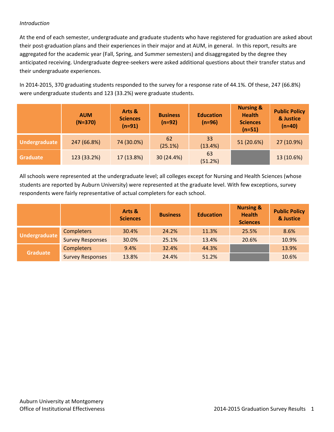#### *Introduction*

At the end of each semester, undergraduate and graduate students who have registered for graduation are asked about their post-graduation plans and their experiences in their major and at AUM, in general. In this report, results are aggregated for the academic year (Fall, Spring, and Summer semesters) and disaggregated by the degree they anticipated receiving. Undergraduate degree‐seekers were asked additional questions about their transfer status and their undergraduate experiences.

In 2014‐2015, 370 graduating students responded to the survey for a response rate of 44.1%. Of these, 247 (66.8%) were undergraduate students and 123 (33.2%) were graduate students.

|               | <b>AUM</b><br>$(N=370)$ | Arts &<br><b>Sciences</b><br>$(n=91)$ | <b>Business</b><br>$(n=92)$ | <b>Education</b><br>$(n=96)$ | <b>Nursing &amp;</b><br><b>Health</b><br><b>Sciences</b><br>$(n=51)$ | <b>Public Policy</b><br>& Justice<br>$(n=40)$ |
|---------------|-------------------------|---------------------------------------|-----------------------------|------------------------------|----------------------------------------------------------------------|-----------------------------------------------|
| Undergraduate | 247 (66.8%)             | 74 (30.0%)                            | 62<br>(25.1%)               | 33<br>(13.4%)                | 51 (20.6%)                                                           | 27 (10.9%)                                    |
| Graduate      | 123 (33.2%)             | 17 (13.8%)                            | 30 (24.4%)                  | 63<br>(51.2%)                |                                                                      | 13 (10.6%)                                    |

All schools were represented at the undergraduate level; all colleges except for Nursing and Health Sciences (whose students are reported by Auburn University) were represented at the graduate level. With few exceptions, survey respondents were fairly representative of actual completers for each school.

|                      |                         | Arts &<br><b>Sciences</b> | <b>Business</b> | <b>Education</b> | <b>Nursing &amp;</b><br><b>Health</b><br><b>Sciences</b> | <b>Public Policy</b><br>& Justice |
|----------------------|-------------------------|---------------------------|-----------------|------------------|----------------------------------------------------------|-----------------------------------|
| <b>Undergraduate</b> | <b>Completers</b>       | 30.4%                     | 24.2%           | 11.3%            | 25.5%                                                    | 8.6%                              |
|                      | <b>Survey Responses</b> | 30.0%                     | 25.1%           | 13.4%            | 20.6%                                                    | 10.9%                             |
|                      | <b>Completers</b>       | 9.4%                      | 32.4%           | 44.3%            |                                                          | 13.9%                             |
| <b>Graduate</b>      | <b>Survey Responses</b> | 13.8%                     | 24.4%           | 51.2%            |                                                          | 10.6%                             |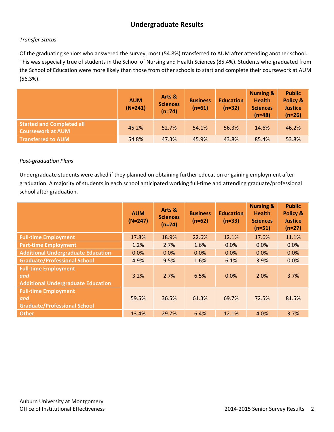# **Undergraduate Results**

#### *Transfer Status*

Of the graduating seniors who answered the survey, most (54.8%) transferred to AUM after attending another school. This was especially true of students in the School of Nursing and Health Sciences (85.4%). Students who graduated from the School of Education were more likely than those from other schools to start and complete their coursework at AUM (56.3%).

|                                                              | <b>AUM</b><br>$(N=241)$ | Arts &<br><b>Sciences</b><br>$(n=74)$ | <b>Business</b><br>$(n=61)$ | <b>Education</b><br>$(n=32)$ | <b>Nursing &amp;</b><br><b>Health</b><br><b>Sciences</b><br>$(n=48)$ | <b>Public</b><br>Policy &<br><b>Justice</b><br>$(n=26)$ |
|--------------------------------------------------------------|-------------------------|---------------------------------------|-----------------------------|------------------------------|----------------------------------------------------------------------|---------------------------------------------------------|
| <b>Started and Completed all</b><br><b>Coursework at AUM</b> | 45.2%                   | 52.7%                                 | 54.1%                       | 56.3%                        | 14.6%                                                                | 46.2%                                                   |
| <b>Transferred to AUM</b>                                    | 54.8%                   | 47.3%                                 | 45.9%                       | 43.8%                        | 85.4%                                                                | 53.8%                                                   |

#### *Post‐graduation Plans*

Undergraduate students were asked if they planned on obtaining further education or gaining employment after graduation. A majority of students in each school anticipated working full-time and attending graduate/professional school after graduation.

|                                                                                 | <b>AUM</b><br>$(N=247)$ | Arts &<br><b>Sciences</b><br>$(n=74)$ | <b>Business</b><br>$(n=62)$ | <b>Education</b><br>$(n=33)$ | <b>Nursing &amp;</b><br><b>Health</b><br><b>Sciences</b><br>$(n=51)$ | <b>Public</b><br>Policy &<br><b>Justice</b><br>$(n=27)$ |
|---------------------------------------------------------------------------------|-------------------------|---------------------------------------|-----------------------------|------------------------------|----------------------------------------------------------------------|---------------------------------------------------------|
| <b>Full-time Employment</b>                                                     | 17.8%                   | 18.9%                                 | 22.6%                       | 12.1%                        | 17.6%                                                                | 11.1%                                                   |
| <b>Part-time Employment</b>                                                     | 1.2%                    | 2.7%                                  | 1.6%                        | 0.0%                         | 0.0%                                                                 | 0.0%                                                    |
| <b>Additional Undergraduate Education</b>                                       | 0.0%                    | 0.0%                                  | 0.0%                        | 0.0%                         | 0.0%                                                                 | 0.0%                                                    |
| <b>Graduate/Professional School</b>                                             | 4.9%                    | 9.5%                                  | 1.6%                        | 6.1%                         | 3.9%                                                                 | 0.0%                                                    |
| <b>Full-time Employment</b><br>and<br><b>Additional Undergraduate Education</b> | 3.2%                    | 2.7%                                  | 6.5%                        | 0.0%                         | 2.0%                                                                 | 3.7%                                                    |
| <b>Full-time Employment</b><br>and<br><b>Graduate/Professional School</b>       | 59.5%                   | 36.5%                                 | 61.3%                       | 69.7%                        | 72.5%                                                                | 81.5%                                                   |
| <b>Other</b>                                                                    | 13.4%                   | 29.7%                                 | 6.4%                        | 12.1%                        | 4.0%                                                                 | 3.7%                                                    |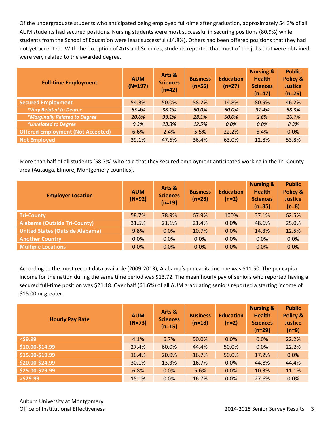Of the undergraduate students who anticipated being employed full‐time after graduation, approximately 54.3% of all AUM students had secured positions. Nursing students were most successful in securing positions (80.9%) while students from the School of Education were least successful (14.8%). Others had been offered positions that they had not yet accepted. With the exception of Arts and Sciences, students reported that most of the jobs that were obtained were very related to the awarded degree.

| <b>Full-time Employment</b>              | <b>AUM</b><br>$(N=197)$ | Arts &<br><b>Sciences</b><br>$(n=42)$ | <b>Business</b><br>$(n=55)$ | <b>Education</b><br>$(n=27)$ | <b>Nursing &amp;</b><br><b>Health</b><br><b>Sciences</b><br>$(n=47)$ | <b>Public</b><br>Policy &<br><b>Justice</b><br>$(n=26)$ |
|------------------------------------------|-------------------------|---------------------------------------|-----------------------------|------------------------------|----------------------------------------------------------------------|---------------------------------------------------------|
| <b>Secured Employment</b>                | 54.3%                   | 50.0%                                 | 58.2%                       | 14.8%                        | 80.9%                                                                | 46.2%                                                   |
| *Very Related to Degree                  | 65.4%                   | 38.1%                                 | 50.0%                       | 50.0%                        | 97.4%                                                                | 58.3%                                                   |
| <i>*Marginally Related to Degree</i>     | 20.6%                   | 38.1%                                 | 28.1%                       | 50.0%                        | 2.6%                                                                 | 16.7%                                                   |
| <i>*Unrelated to Degree</i>              | 9.3%                    | 23.8%                                 | 12.5%                       | 0.0%                         | 0.0%                                                                 | 8.3%                                                    |
| <b>Offered Employment (Not Accepted)</b> | 6.6%                    | 2.4%                                  | 5.5%                        | 22.2%                        | 6.4%                                                                 | 0.0%                                                    |
| <b>Not Employed</b>                      | 39.1%                   | 47.6%                                 | 36.4%                       | 63.0%                        | 12.8%                                                                | 53.8%                                                   |

More than half of all students (58.7%) who said that they secured employment anticipated working in the Tri‐County area (Autauga, Elmore, Montgomery counties).

| <b>Employer Location</b>               | <b>AUM</b><br>$(N=92)$ | Arts &<br><b>Sciences</b><br>$(n=19)$ | <b>Business</b><br>$(n=28)$ | <b>Education</b><br>$(n=2)$ | <b>Nursing &amp;</b><br><b>Health</b><br><b>Sciences</b><br>$(n=35)$ | <b>Public</b><br>Policy &<br><b>Justice</b><br>$(n=8)$ |
|----------------------------------------|------------------------|---------------------------------------|-----------------------------|-----------------------------|----------------------------------------------------------------------|--------------------------------------------------------|
| <b>Tri-County</b>                      | 58.7%                  | 78.9%                                 | 67.9%                       | 100%                        | 37.1%                                                                | 62.5%                                                  |
| <b>Alabama (Outside Tri-County)</b>    | 31.5%                  | 21.1%                                 | 21.4%                       | 0.0%                        | 48.6%                                                                | 25.0%                                                  |
| <b>United States (Outside Alabama)</b> | 9.8%                   | 0.0%                                  | 10.7%                       | 0.0%                        | 14.3%                                                                | 12.5%                                                  |
| <b>Another Country</b>                 | 0.0%                   | 0.0%                                  | 0.0%                        | 0.0%                        | 0.0%                                                                 | 0.0%                                                   |
| <b>Multiple Locations</b>              | 0.0%                   | 0.0%                                  | 0.0%                        | 0.0%                        | 0.0%                                                                 | 0.0%                                                   |

According to the most recent data available (2009‐2013), Alabama's per capita income was \$11.50. The per capita income for the nation during the same time period was \$13.72. The mean hourly pay of seniors who reported having a secured full-time position was \$21.18. Over half (61.6%) of all AUM graduating seniors reported a starting income of \$15.00 or greater.

| <b>Hourly Pay Rate</b> | <b>AUM</b><br>$(N=73)$ | Arts &<br><b>Sciences</b><br>$(n=15)$ | <b>Business</b><br>$(n=18)$ | <b>Education</b><br>$(n=2)$ | <b>Nursing &amp;</b><br><b>Health</b><br><b>Sciences</b><br>$(n=29)$ | <b>Public</b><br>Policy &<br><b>Justice</b><br>$(n=9)$ |
|------------------------|------------------------|---------------------------------------|-----------------------------|-----------------------------|----------------------------------------------------------------------|--------------------------------------------------------|
| $<$ \$9.99             | 4.1%                   | 6.7%                                  | 50.0%                       | $0.0\%$                     | $0.0\%$                                                              | 22.2%                                                  |
| \$10.00-\$14.99        | 27.4%                  | 60.0%                                 | 44.4%                       | 50.0%                       | 0.0%                                                                 | 22.2%                                                  |
| \$15.00-\$19.99        | 16.4%                  | 20.0%                                 | 16.7%                       | 50.0%                       | 17.2%                                                                | 0.0%                                                   |
| \$20.00-\$24.99        | 30.1%                  | 13.3%                                 | 16.7%                       | 0.0%                        | 44.8%                                                                | 44.4%                                                  |
| \$25.00-\$29.99        | 6.8%                   | 0.0%                                  | 5.6%                        | 0.0%                        | 10.3%                                                                | 11.1%                                                  |
| $>$ \$29.99            | 15.1%                  | 0.0%                                  | 16.7%                       | 0.0%                        | 27.6%                                                                | 0.0%                                                   |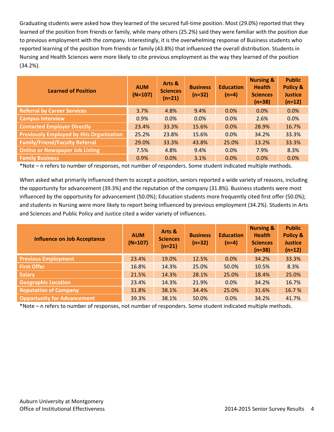Graduating students were asked how they learned of the secured full-time position. Most (29.0%) reported that they learned of the position from friends or family, while many others (25.2%) said they were familiar with the position due to previous employment with the company. Interestingly, it is the overwhelming response of Business students who reported learning of the position from friends or family (43.8%) that influenced the overall distribution. Students in Nursing and Health Sciences were more likely to cite previous employment as the way they learned of the position (34.2%).

| <b>Learned of Position</b>                      | <b>AUM</b><br>$(N=107)$ | Arts &<br><b>Sciences</b><br>$(n=21)$ | <b>Business</b><br>$(n=32)$ | <b>Education</b><br>$(n=4)$ | <b>Nursing &amp;</b><br><b>Health</b><br><b>Sciences</b><br>$(n=38)$ | <b>Public</b><br><b>Policy &amp;</b><br><b>Justice</b><br>$(n=12)$ |
|-------------------------------------------------|-------------------------|---------------------------------------|-----------------------------|-----------------------------|----------------------------------------------------------------------|--------------------------------------------------------------------|
| <b>Referral by Career Services</b>              | 3.7%                    | 4.8%                                  | 9.4%                        | 0.0%                        | 0.0%                                                                 | 0.0%                                                               |
| <b>Campus Interview</b>                         | 0.9%                    | 0.0%                                  | 0.0%                        | 0.0%                        | 2.6%                                                                 | 0.0%                                                               |
| <b>Contacted Employer Directly</b>              | 23.4%                   | 33.3%                                 | 15.6%                       | 0.0%                        | 28.9%                                                                | 16.7%                                                              |
| <b>Previously Employed by this Organization</b> | 25.2%                   | 23.8%                                 | 15.6%                       | 0.0%                        | 34.2%                                                                | 33.3%                                                              |
| <b>Family/Friend/Faculty Referral</b>           | 29.0%                   | 33.3%                                 | 43.8%                       | 25.0%                       | 13.2%                                                                | 33.3%                                                              |
| <b>Online or Newspaper Job Listing</b>          | 7.5%                    | 4.8%                                  | 9.4%                        | 0.0%                        | 7.9%                                                                 | 8.3%                                                               |
| <b>Family Business</b>                          | 0.9%                    | 0.0%                                  | 3.1%                        | 0.0%                        | 0.0%                                                                 | 0.0%                                                               |

\*Note – n refers to number of responses, not number of responders. Some student indicated multiple methods.

When asked what primarily influenced them to accept a position, seniors reported a wide variety of reasons, including the opportunity for advancement (39.3%) and the reputation of the company (31.8%). Business students were most influenced by the opportunity for advancement (50.0%); Education students more frequently cited first offer (50.0%); and students in Nursing were more likely to report being influenced by previous employment (34.2%). Students in Arts and Sciences and Public Policy and Justice cited a wider variety of influences.

| <b>Influence on Job Acceptance</b> | <b>AUM</b><br>$(N=107)$ | Arts &<br><b>Sciences</b><br>$(n=21)$ | <b>Business</b><br>$(n=32)$ | <b>Education</b><br>$(n=4)$ | <b>Nursing &amp;</b><br><b>Health</b><br><b>Sciences</b><br>$(n=38)$ | <b>Public</b><br>Policy &<br><b>Justice</b><br>$(n=12)$ |
|------------------------------------|-------------------------|---------------------------------------|-----------------------------|-----------------------------|----------------------------------------------------------------------|---------------------------------------------------------|
| <b>Previous Employment</b>         | 23.4%                   | 19.0%                                 | 12.5%                       | 0.0%                        | 34.2%                                                                | 33.3%                                                   |
| <b>First Offer</b>                 | 16.8%                   | 14.3%                                 | 25.0%                       | 50.0%                       | 10.5%                                                                | 8.3%                                                    |
| <b>Salary</b>                      | 21.5%                   | 14.3%                                 | 28.1%                       | 25.0%                       | 18.4%                                                                | 25.0%                                                   |
| <b>Geographic Location</b>         | 23.4%                   | 14.3%                                 | 21.9%                       | 0.0%                        | 34.2%                                                                | 16.7%                                                   |
| <b>Reputation of Company</b>       | 31.8%                   | 38.1%                                 | 34.4%                       | 25.0%                       | 31.6%                                                                | 16.7%                                                   |
| <b>Opportunity for Advancement</b> | 39.3%                   | 38.1%                                 | 50.0%                       | 0.0%                        | 34.2%                                                                | 41.7%                                                   |

\*Note – n refers to number of responses, not number of responders. Some student indicated multiple methods.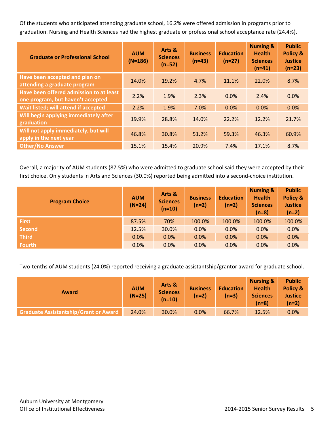Of the students who anticipated attending graduate school, 16.2% were offered admission in programs prior to graduation. Nursing and Health Sciences had the highest graduate or professional school acceptance rate (24.4%).

| <b>Graduate or Professional School</b>                                       | <b>AUM</b><br>$(N=186)$ | Arts &<br><b>Sciences</b><br>$(n=52)$ | <b>Business</b><br>$(n=43)$ | <b>Education</b><br>$(n=27)$ | <b>Nursing &amp;</b><br><b>Health</b><br><b>Sciences</b><br>$(n=41)$ | <b>Public</b><br>Policy &<br><b>Justice</b><br>$(n=23)$ |
|------------------------------------------------------------------------------|-------------------------|---------------------------------------|-----------------------------|------------------------------|----------------------------------------------------------------------|---------------------------------------------------------|
| Have been accepted and plan on<br>attending a graduate program               | 14.0%                   | 19.2%                                 | 4.7%                        | 11.1%                        | 22.0%                                                                | 8.7%                                                    |
| Have been offered admission to at least<br>one program, but haven't accepted | 2.2%                    | 1.9%                                  | 2.3%                        | 0.0%                         | 2.4%                                                                 | 0.0%                                                    |
| Wait listed; will attend if accepted                                         | 2.2%                    | 1.9%                                  | 7.0%                        | 0.0%                         | 0.0%                                                                 | 0.0%                                                    |
| Will begin applying immediately after<br>graduation                          | 19.9%                   | 28.8%                                 | 14.0%                       | 22.2%                        | 12.2%                                                                | 21.7%                                                   |
| Will not apply immediately, but will<br>apply in the next year               | 46.8%                   | 30.8%                                 | 51.2%                       | 59.3%                        | 46.3%                                                                | 60.9%                                                   |
| <b>Other/No Answer</b>                                                       | 15.1%                   | 15.4%                                 | 20.9%                       | 7.4%                         | 17.1%                                                                | 8.7%                                                    |

Overall, a majority of AUM students (87.5%) who were admitted to graduate school said they were accepted by their first choice. Only students in Arts and Sciences (30.0%) reported being admitted into a second-choice institution.

| <b>Program Choice</b> | <b>AUM</b><br>$(N=24)$ | Arts &<br><b>Sciences</b><br>$(n=10)$ | <b>Business</b><br>$(n=2)$ | <b>Education</b><br>$(n=2)$ | <b>Nursing &amp;</b><br><b>Health</b><br><b>Sciences</b><br>$(n=8)$ | <b>Public</b><br>Policy &<br><b>Justice</b><br>$(n=2)$ |
|-----------------------|------------------------|---------------------------------------|----------------------------|-----------------------------|---------------------------------------------------------------------|--------------------------------------------------------|
| <b>First</b>          | 87.5%                  | 70%                                   | 100.0%                     | 100.0%                      | 100.0%                                                              | 100.0%                                                 |
| <b>Second</b>         | 12.5%                  | 30.0%                                 | 0.0%                       | 0.0%                        | 0.0%                                                                | 0.0%                                                   |
| <b>Third</b>          | 0.0%                   | 0.0%                                  | 0.0%                       | 0.0%                        | 0.0%                                                                | 0.0%                                                   |
| <b>Fourth</b>         | 0.0%                   | 0.0%                                  | 0.0%                       | 0.0%                        | 0.0%                                                                | 0.0%                                                   |

Two-tenths of AUM students (24.0%) reported receiving a graduate assistantship/grantor award for graduate school.

| Award                                        | <b>AUM</b><br>$(N=25)$ | Arts &<br><b>Sciences</b><br>$(n=10)$ | <b>Business</b><br>$(n=2)$ | <b>Education</b><br>$(n=3)$ | <b>Nursing &amp;</b><br><b>Health</b><br><b>Sciences</b><br>$(n=8)$ | <b>Public</b><br>Policy &<br><b>Justice</b><br>$(n=2)$ |
|----------------------------------------------|------------------------|---------------------------------------|----------------------------|-----------------------------|---------------------------------------------------------------------|--------------------------------------------------------|
| <b>Graduate Assistantship/Grant or Award</b> | 24.0%                  | 30.0%                                 | 0.0%                       | 66.7%                       | 12.5%                                                               | 0.0%                                                   |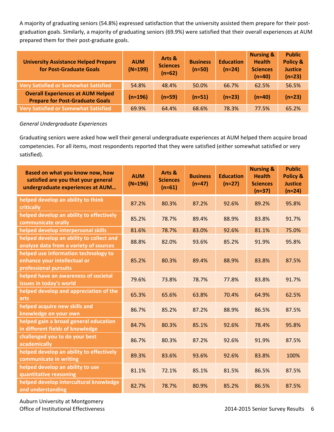A majority of graduating seniors (54.8%) expressed satisfaction that the university assisted them prepare for their post‐ graduation goals. Similarly, a majority of graduating seniors (69.9%) were satisfied that their overall experiences at AUM prepared them for their post-graduate goals.

| <b>University Assistance Helped Prepare</b><br>for Post-Graduate Goals             | <b>AUM</b><br>$(N=199)$ | Arts &<br><b>Sciences</b><br>$(n=62)$ | <b>Business</b><br>$(n=50)$ | <b>Education</b><br>$(n=24)$ | <b>Nursing &amp;</b><br><b>Health</b><br><b>Sciences</b><br>$(n=40)$ | <b>Public</b><br>Policy &<br><b>Justice</b><br>$(n=23)$ |
|------------------------------------------------------------------------------------|-------------------------|---------------------------------------|-----------------------------|------------------------------|----------------------------------------------------------------------|---------------------------------------------------------|
| <b>Very Satisfied or Somewhat Satisfied</b>                                        | 54.8%                   | 48.4%                                 | 50.0%                       | 66.7%                        | 62.5%                                                                | 56.5%                                                   |
| <b>Overall Experiences at AUM Helped</b><br><b>Prepare for Post-Graduate Goals</b> | $(n=196)$               | $(n=59)$                              | $(n=51)$                    | $(n=23)$                     | $(n=40)$                                                             | $(n=23)$                                                |
| <b>Very Satisfied or Somewhat Satisfied</b>                                        | 69.9%                   | 64.4%                                 | 68.6%                       | 78.3%                        | 77.5%                                                                | 65.2%                                                   |

#### *General Undergraduate Experiences*

Graduating seniors were asked how well their general undergraduate experiences at AUM helped them acquire broad competencies. For all items, most respondents reported that they were satisfied (either somewhat satisfied or very satisfied).

| Based on what you know now, how<br>satisfied are you that your general<br>undergraduate experiences at AUM | <b>AUM</b><br>$(N=196)$ | Arts &<br><b>Sciences</b><br>$(n=61)$ | <b>Business</b><br>$(n=47)$ | <b>Education</b><br>$(n=27)$ | <b>Nursing &amp;</b><br><b>Health</b><br><b>Sciences</b><br>$(n=37)$ | <b>Public</b><br><b>Policy &amp;</b><br><b>Justice</b><br>$(n=24)$ |
|------------------------------------------------------------------------------------------------------------|-------------------------|---------------------------------------|-----------------------------|------------------------------|----------------------------------------------------------------------|--------------------------------------------------------------------|
| helped develop an ability to think<br>critically                                                           | 87.2%                   | 80.3%                                 | 87.2%                       | 92.6%                        | 89.2%                                                                | 95.8%                                                              |
| helped develop an ability to effectively<br>communicate orally                                             | 85.2%                   | 78.7%                                 | 89.4%                       | 88.9%                        | 83.8%                                                                | 91.7%                                                              |
| helped develop interpersonal skills                                                                        | 81.6%                   | 78.7%                                 | 83.0%                       | 92.6%                        | 81.1%                                                                | 75.0%                                                              |
| helped develop an ability to collect and<br>analyze data from a variety of sources                         | 88.8%                   | 82.0%                                 | 93.6%                       | 85.2%                        | 91.9%                                                                | 95.8%                                                              |
| helped use information technology to<br>enhance your intellectual or<br>professional pursuits              | 85.2%                   | 80.3%                                 | 89.4%                       | 88.9%                        | 83.8%                                                                | 87.5%                                                              |
| helped have an awareness of societal<br>issues in today's world                                            | 79.6%                   | 73.8%                                 | 78.7%                       | 77.8%                        | 83.8%                                                                | 91.7%                                                              |
| helped develop and appreciation of the<br>arts                                                             | 65.3%                   | 65.6%                                 | 63.8%                       | 70.4%                        | 64.9%                                                                | 62.5%                                                              |
| helped acquire new skills and<br>knowledge on your own                                                     | 86.7%                   | 85.2%                                 | 87.2%                       | 88.9%                        | 86.5%                                                                | 87.5%                                                              |
| helped gain a broad general education<br>in different fields of knowledge                                  | 84.7%                   | 80.3%                                 | 85.1%                       | 92.6%                        | 78.4%                                                                | 95.8%                                                              |
| challenged you to do your best<br>academically                                                             | 86.7%                   | 80.3%                                 | 87.2%                       | 92.6%                        | 91.9%                                                                | 87.5%                                                              |
| helped develop an ability to effectively<br>communicate in writing                                         | 89.3%                   | 83.6%                                 | 93.6%                       | 92.6%                        | 83.8%                                                                | 100%                                                               |
| helped develop an ability to use<br>quantitative reasoning                                                 | 81.1%                   | 72.1%                                 | 85.1%                       | 81.5%                        | 86.5%                                                                | 87.5%                                                              |
| helped develop intercultural knowledge<br>and understanding                                                | 82.7%                   | 78.7%                                 | 80.9%                       | 85.2%                        | 86.5%                                                                | 87.5%                                                              |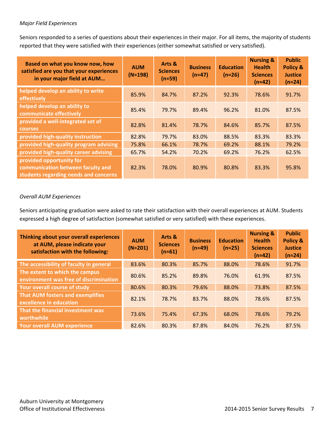#### *Major Field Experiences*

Seniors responded to a series of questions about their experiences in their major. For all items, the majority of students reported that they were satisfied with their experiences (either somewhat satisfied or very satisfied).

| Based on what you know now, how<br>satisfied are you that your experiences<br>in your major field at AUM | <b>AUM</b><br>$(N \approx 198)$ | Arts &<br><b>Sciences</b><br>$(n \approx 59)$ | <b>Business</b><br>$(n \approx 47)$ | <b>Education</b><br>$(n \approx 26)$ | <b>Nursing &amp;</b><br><b>Health</b><br><b>Sciences</b><br>$(n \approx 42)$ | <b>Public</b><br><b>Policy &amp;</b><br><b>Justice</b><br>$(n \approx 24)$ |
|----------------------------------------------------------------------------------------------------------|---------------------------------|-----------------------------------------------|-------------------------------------|--------------------------------------|------------------------------------------------------------------------------|----------------------------------------------------------------------------|
| helped develop an ability to write<br>effectively                                                        | 85.9%                           | 84.7%                                         | 87.2%                               | 92.3%                                | 78.6%                                                                        | 91.7%                                                                      |
| helped develop an ability to<br>communicate effectively                                                  | 85.4%                           | 79.7%                                         | 89.4%                               | 96.2%                                | 81.0%                                                                        | 87.5%                                                                      |
| provided a well-integrated set of<br><b>courses</b>                                                      | 82.8%                           | 81.4%                                         | 78.7%                               | 84.6%                                | 85.7%                                                                        | 87.5%                                                                      |
| provided high-quality instruction                                                                        | 82.8%                           | 79.7%                                         | 83.0%                               | 88.5%                                | 83.3%                                                                        | 83.3%                                                                      |
| provided high-quality program advising                                                                   | 75.8%                           | 66.1%                                         | 78.7%                               | 69.2%                                | 88.1%                                                                        | 79.2%                                                                      |
| provided high-quality career advising                                                                    | 65.7%                           | 54.2%                                         | 70.2%                               | 69.2%                                | 76.2%                                                                        | 62.5%                                                                      |
| provided opportunity for<br>communication between faculty and<br>students regarding needs and concerns   | 82.3%                           | 78.0%                                         | 80.9%                               | 80.8%                                | 83.3%                                                                        | 95.8%                                                                      |

#### *Overall AUM Experiences*

Seniors anticipating graduation were asked to rate their satisfaction with their overall experiences at AUM. Students expressed a high degree of satisfaction (somewhat satisfied or very satisfied) with these experiences.

| Thinking about your overall experiences<br>at AUM, please indicate your<br>satisfaction with the following: | <b>AUM</b><br>$(N \approx 201)$ | Arts &<br><b>Sciences</b><br>$(n \approx 61)$ | <b>Business</b><br>$(n \approx 49)$ | <b>Education</b><br>$(n \approx 25)$ | <b>Nursing &amp;</b><br><b>Health</b><br><b>Sciences</b><br>$(n \approx 42)$ | <b>Public</b><br>Policy &<br><b>Justice</b><br>$(n \approx 24)$ |
|-------------------------------------------------------------------------------------------------------------|---------------------------------|-----------------------------------------------|-------------------------------------|--------------------------------------|------------------------------------------------------------------------------|-----------------------------------------------------------------|
| The accessibility of faculty in general                                                                     | 83.6%                           | 80.3%                                         | 85.7%                               | 88.0%                                | 78.6%                                                                        | 91.7%                                                           |
| The extent to which the campus<br>environment was free of discrimination                                    | 80.6%                           | 85.2%                                         | 89.8%                               | 76.0%                                | 61.9%                                                                        | 87.5%                                                           |
| Your overall course of study                                                                                | 80.6%                           | 80.3%                                         | 79.6%                               | 88.0%                                | 73.8%                                                                        | 87.5%                                                           |
| That AUM fosters and exemplifies<br>excellence in education                                                 | 82.1%                           | 78.7%                                         | 83.7%                               | 88.0%                                | 78.6%                                                                        | 87.5%                                                           |
| That the financial investment was<br>worthwhile                                                             | 73.6%                           | 75.4%                                         | 67.3%                               | 68.0%                                | 78.6%                                                                        | 79.2%                                                           |
| <b>Your overall AUM experience</b>                                                                          | 82.6%                           | 80.3%                                         | 87.8%                               | 84.0%                                | 76.2%                                                                        | 87.5%                                                           |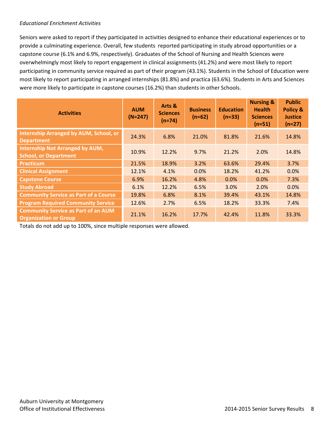#### *Educational Enrichment Activities*

Seniors were asked to report if they participated in activities designed to enhance their educational experiences or to provide a culminating experience. Overall, few students reported participating in study abroad opportunities or a capstone course (6.1% and 6.9%, respectively). Graduates of the School of Nursing and Health Sciences were overwhelmingly most likely to report engagement in clinical assignments (41.2%) and were most likely to report participating in community service required as part of their program (43.1%). Students in the School of Education were most likely to report participating in arranged internships (81.8%) and practica (63.6%). Students in Arts and Sciences were more likely to participate in capstone courses (16.2%) than students in other Schools.

| <b>Activities</b>                                                          | <b>AUM</b><br>$(N=247)$ | Arts &<br><b>Sciences</b><br>$(n=74)$ | <b>Business</b><br>$(n=62)$ | <b>Education</b><br>$(n=33)$ | <b>Nursing &amp;</b><br><b>Health</b><br><b>Sciences</b><br>$(n=51)$ | <b>Public</b><br>Policy &<br><b>Justice</b><br>$(n=27)$ |
|----------------------------------------------------------------------------|-------------------------|---------------------------------------|-----------------------------|------------------------------|----------------------------------------------------------------------|---------------------------------------------------------|
| <b>Internship Arranged by AUM, School, or</b><br><b>Department</b>         | 24.3%                   | 6.8%                                  | 21.0%                       | 81.8%                        | 21.6%                                                                | 14.8%                                                   |
| <b>Internship Not Arranged by AUM,</b><br><b>School, or Department</b>     | 10.9%                   | 12.2%                                 | 9.7%                        | 21.2%                        | 2.0%                                                                 | 14.8%                                                   |
| <b>Practicum</b>                                                           | 21.5%                   | 18.9%                                 | 3.2%                        | 63.6%                        | 29.4%                                                                | 3.7%                                                    |
| <b>Clinical Assignment</b>                                                 | 12.1%                   | 4.1%                                  | 0.0%                        | 18.2%                        | 41.2%                                                                | 0.0%                                                    |
| <b>Capstone Course</b>                                                     | 6.9%                    | 16.2%                                 | 4.8%                        | 0.0%                         | 0.0%                                                                 | 7.3%                                                    |
| <b>Study Abroad</b>                                                        | 6.1%                    | 12.2%                                 | 6.5%                        | 3.0%                         | 2.0%                                                                 | 0.0%                                                    |
| <b>Community Service as Part of a Course</b>                               | 19.8%                   | 6.8%                                  | 8.1%                        | 39.4%                        | 43.1%                                                                | 14.8%                                                   |
| <b>Program Required Community Service</b>                                  | 12.6%                   | 2.7%                                  | 6.5%                        | 18.2%                        | 33.3%                                                                | 7.4%                                                    |
| <b>Community Service as Part of an AUM</b><br><b>Organization or Group</b> | 21.1%                   | 16.2%                                 | 17.7%                       | 42.4%                        | 11.8%                                                                | 33.3%                                                   |

Totals do not add up to 100%, since multiple responses were allowed.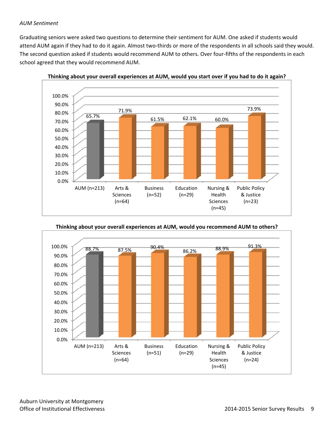#### *AUM Sentiment*

Graduating seniors were asked two questions to determine their sentiment for AUM. One asked if students would attend AUM again if they had to do it again. Almost two-thirds or more of the respondents in all schools said they would. The second question asked if students would recommend AUM to others. Over four-fifths of the respondents in each school agreed that they would recommend AUM.



**Thinking about your overall experiences at AUM, would you start over if you had to do it again?**

**Thinking about your overall experiences at AUM, would you recommend AUM to others?**

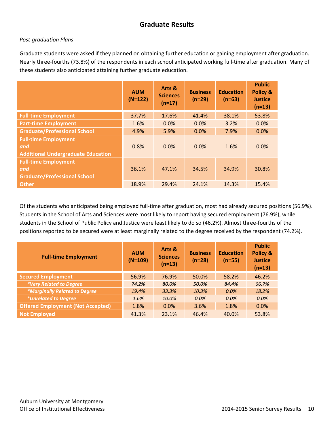## **Graduate Results**

#### *Post‐graduation Plans*

Graduate students were asked if they planned on obtaining further education or gaining employment after graduation. Nearly three‐fourths (73.8%) of the respondents in each school anticipated working full‐time after graduation. Many of these students also anticipated attaining further graduate education.

|                                                                                 | <b>AUM</b><br>$(N=122)$ | Arts &<br><b>Sciences</b><br>$(n=17)$ | <b>Business</b><br>$(n=29)$ | <b>Education</b><br>$(n=63)$ | <b>Public</b><br><b>Policy &amp;</b><br><b>Justice</b><br>$(n=13)$ |
|---------------------------------------------------------------------------------|-------------------------|---------------------------------------|-----------------------------|------------------------------|--------------------------------------------------------------------|
| <b>Full-time Employment</b>                                                     | 37.7%                   | 17.6%                                 | 41.4%                       | 38.1%                        | 53.8%                                                              |
| <b>Part-time Employment</b>                                                     | 1.6%                    | 0.0%                                  | 0.0%                        | 3.2%                         | 0.0%                                                               |
| <b>Graduate/Professional School</b>                                             | 4.9%                    | 5.9%                                  | 0.0%                        | 7.9%                         | 0.0%                                                               |
| <b>Full-time Employment</b><br>and<br><b>Additional Undergraduate Education</b> | 0.8%                    | 0.0%                                  | 0.0%                        | 1.6%                         | 0.0%                                                               |
| <b>Full-time Employment</b><br>and<br><b>Graduate/Professional School</b>       | 36.1%                   | 47.1%                                 | 34.5%                       | 34.9%                        | 30.8%                                                              |
| <b>Other</b>                                                                    | 18.9%                   | 29.4%                                 | 24.1%                       | 14.3%                        | 15.4%                                                              |

Of the students who anticipated being employed full‐time after graduation, most had already secured positions (56.9%). Students in the School of Arts and Sciences were most likely to report having secured employment (76.9%), while students in the School of Public Policy and Justice were least likely to do so (46.2%). Almost three‐fourths of the positions reported to be secured were at least marginally related to the degree received by the respondent (74.2%).

| <b>Full-time Employment</b>              | <b>AUM</b><br>$(N=109)$ | Arts &<br><b>Sciences</b><br>$(n=13)$ | <b>Business</b><br>$(n=28)$ | <b>Education</b><br>$(n=55)$ | <b>Public</b><br>Policy &<br><b>Justice</b><br>$(n=13)$ |
|------------------------------------------|-------------------------|---------------------------------------|-----------------------------|------------------------------|---------------------------------------------------------|
| <b>Secured Employment</b>                | 56.9%                   | 76.9%                                 | 50.0%                       | 58.2%                        | 46.2%                                                   |
| *Very Related to Degree                  | 74.2%                   | 80.0%                                 | 50.0%                       | 84.4%                        | 66.7%                                                   |
| *Marginally Related to Degree            | 19.4%                   | 33.3%                                 | 10.3%                       | 0.0%                         | 18.2%                                                   |
| <i>*Unrelated to Degree</i>              | 1.6%                    | 10.0%                                 | 0.0%                        | 0.0%                         | 0.0%                                                    |
| <b>Offered Employment (Not Accepted)</b> | 1.8%                    | 0.0%                                  | 3.6%                        | 1.8%                         | 0.0%                                                    |
| <b>Not Employed</b>                      | 41.3%                   | 23.1%                                 | 46.4%                       | 40.0%                        | 53.8%                                                   |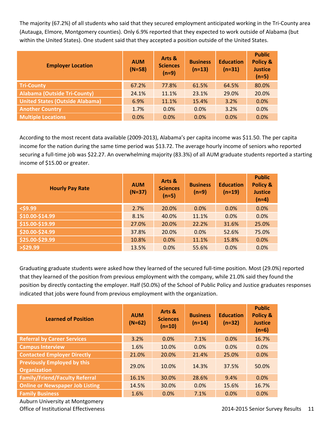The majority (67.2%) of all students who said that they secured employment anticipated working in the Tri‐County area (Autauga, Elmore, Montgomery counties). Only 6.9% reported that they expected to work outside of Alabama (but within the United States). One student said that they accepted a position outside of the United States.

| <b>Employer Location</b>               | <b>AUM</b><br>$(N=58)$ | Arts &<br><b>Sciences</b><br>$(n=9)$ | <b>Business</b><br>$(n=13)$ | <b>Education</b><br>$(n=31)$ | <b>Public</b><br><b>Policy &amp;</b><br><b>Justice</b><br>$(n=5)$ |
|----------------------------------------|------------------------|--------------------------------------|-----------------------------|------------------------------|-------------------------------------------------------------------|
| <b>Tri-County</b>                      | 67.2%                  | 77.8%                                | 61.5%                       | 64.5%                        | 80.0%                                                             |
| <b>Alabama (Outside Tri-County)</b>    | 24.1%                  | 11.1%                                | 23.1%                       | 29.0%                        | 20.0%                                                             |
| <b>United States (Outside Alabama)</b> | 6.9%                   | 11.1%                                | 15.4%                       | 3.2%                         | 0.0%                                                              |
| <b>Another Country</b>                 | 1.7%                   | 0.0%                                 | 0.0%                        | 3.2%                         | 0.0%                                                              |
| <b>Multiple Locations</b>              | 0.0%                   | 0.0%                                 | 0.0%                        | 0.0%                         | 0.0%                                                              |

According to the most recent data available (2009‐2013), Alabama's per capita income was \$11.50. The per capita income for the nation during the same time period was \$13.72. The average hourly income of seniors who reported securing a full-time job was \$22.27. An overwhelming majority (83.3%) of all AUM graduate students reported a starting income of \$15.00 or greater.

| <b>Hourly Pay Rate</b> | <b>AUM</b><br>$(N=37)$ | Arts &<br><b>Sciences</b><br>$(n=5)$ | <b>Business</b><br>$(n=9)$ | <b>Education</b><br>$(n=19)$ | <b>Public</b><br>Policy &<br><b>Justice</b><br>$(n=4)$ |
|------------------------|------------------------|--------------------------------------|----------------------------|------------------------------|--------------------------------------------------------|
| $<$ \$9.99             | 2.7%                   | 20.0%                                | 0.0%                       | 0.0%                         | 0.0%                                                   |
| \$10.00-\$14.99        | 8.1%                   | 40.0%                                | 11.1%                      | 0.0%                         | 0.0%                                                   |
| \$15.00-\$19.99        | 27.0%                  | 20.0%                                | 22.2%                      | 31.6%                        | 25.0%                                                  |
| \$20.00-\$24.99        | 37.8%                  | 20.0%                                | 0.0%                       | 52.6%                        | 75.0%                                                  |
| \$25.00-\$29.99        | 10.8%                  | 0.0%                                 | 11.1%                      | 15.8%                        | 0.0%                                                   |
| $>$ \$29.99            | 13.5%                  | 0.0%                                 | 55.6%                      | 0.0%                         | 0.0%                                                   |

Graduating graduate students were asked how they learned of the secured full‐time position. Most (29.0%) reported that they learned of the position from previous employment with the company, while 21.0% said they found the position by directly contacting the employer. Half (50.0%) of the School of Public Policy and Justice graduates responses indicated that jobs were found from previous employment with the organization.

| <b>Learned of Position</b>                                | <b>AUM</b><br>$(N=62)$ | Arts &<br><b>Sciences</b><br>$(n=10)$ | <b>Business</b><br>$(n=14)$ | <b>Education</b><br>$(n=32)$ | <b>Public</b><br>Policy &<br><b>Justice</b><br>$(n=6)$ |
|-----------------------------------------------------------|------------------------|---------------------------------------|-----------------------------|------------------------------|--------------------------------------------------------|
| <b>Referral by Career Services</b>                        | 3.2%                   | 0.0%                                  | 7.1%                        | 0.0%                         | 16.7%                                                  |
| <b>Campus Interview</b>                                   | 1.6%                   | 10.0%                                 | 0.0%                        | 0.0%                         | 0.0%                                                   |
| <b>Contacted Employer Directly</b>                        | 21.0%                  | 20.0%                                 | 21.4%                       | 25.0%                        | 0.0%                                                   |
| <b>Previously Employed by this</b><br><b>Organization</b> | 29.0%                  | 10.0%                                 | 14.3%                       | 37.5%                        | 50.0%                                                  |
| <b>Family/Friend/Faculty Referral</b>                     | 16.1%                  | 30.0%                                 | 28.6%                       | 9.4%                         | 0.0%                                                   |
| <b>Online or Newspaper Job Listing</b>                    | 14.5%                  | 30.0%                                 | 0.0%                        | 15.6%                        | 16.7%                                                  |
| <b>Family Business</b>                                    | 1.6%                   | 0.0%                                  | 7.1%                        | 0.0%                         | 0.0%                                                   |

Auburn University at Montgomery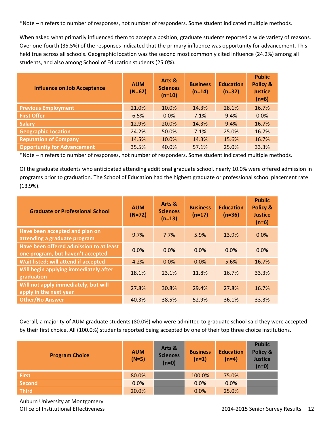\*Note – n refers to number of responses, not number of responders. Some student indicated multiple methods.

When asked what primarily influenced them to accept a position, graduate students reported a wide variety of reasons. Over one-fourth (35.5%) of the responses indicated that the primary influence was opportunity for advancement. This held true across all schools. Geographic location was the second most commonly cited influence (24.2%) among all students, and also among School of Education students (25.0%).

| <b>Influence on Job Acceptance</b> | <b>AUM</b><br>$(N=62)$ | Arts &<br><b>Sciences</b><br>$(n=10)$ | <b>Business</b><br>$(n=14)$ | <b>Education</b><br>$(n=32)$ | <b>Public</b><br>Policy &<br><b>Justice</b><br>$(n=6)$ |
|------------------------------------|------------------------|---------------------------------------|-----------------------------|------------------------------|--------------------------------------------------------|
| <b>Previous Employment</b>         | 21.0%                  | 10.0%                                 | 14.3%                       | 28.1%                        | 16.7%                                                  |
| <b>First Offer</b>                 | 6.5%                   | 0.0%                                  | 7.1%                        | 9.4%                         | 0.0%                                                   |
| <b>Salary</b>                      | 12.9%                  | 20.0%                                 | 14.3%                       | 9.4%                         | 16.7%                                                  |
| <b>Geographic Location</b>         | 24.2%                  | 50.0%                                 | 7.1%                        | 25.0%                        | 16.7%                                                  |
| <b>Reputation of Company</b>       | 14.5%                  | 10.0%                                 | 14.3%                       | 15.6%                        | 16.7%                                                  |
| <b>Opportunity for Advancement</b> | 35.5%                  | 40.0%                                 | 57.1%                       | 25.0%                        | 33.3%                                                  |

\*Note – n refers to number of responses, not number of responders. Some student indicated multiple methods.

Of the graduate students who anticipated attending additional graduate school, nearly 10.0% were offered admission in programs prior to graduation. The School of Education had the highest graduate or professional school placement rate (13.9%).

| <b>Graduate or Professional School</b>                                       | <b>AUM</b><br>$(N=72)$ | Arts &<br><b>Sciences</b><br>$(n=13)$ | <b>Business</b><br>$(n=17)$ | <b>Education</b><br>$(n=36)$ | <b>Public</b><br>Policy &<br><b>Justice</b><br>$(n=6)$ |
|------------------------------------------------------------------------------|------------------------|---------------------------------------|-----------------------------|------------------------------|--------------------------------------------------------|
| Have been accepted and plan on<br>attending a graduate program               | 9.7%                   | 7.7%                                  | 5.9%                        | 13.9%                        | 0.0%                                                   |
| Have been offered admission to at least<br>one program, but haven't accepted | 0.0%                   | 0.0%                                  | 0.0%                        | 0.0%                         | 0.0%                                                   |
| Wait listed; will attend if accepted                                         | 4.2%                   | 0.0%                                  | 0.0%                        | 5.6%                         | 16.7%                                                  |
| Will begin applying immediately after<br>graduation                          | 18.1%                  | 23.1%                                 | 11.8%                       | 16.7%                        | 33.3%                                                  |
| Will not apply immediately, but will<br>apply in the next year               | 27.8%                  | 30.8%                                 | 29.4%                       | 27.8%                        | 16.7%                                                  |
| <b>Other/No Answer</b>                                                       | 40.3%                  | 38.5%                                 | 52.9%                       | 36.1%                        | 33.3%                                                  |

Overall, a majority of AUM graduate students (80.0%) who were admitted to graduate school said they were accepted by their first choice. All (100.0%) students reported being accepted by one of their top three choice institutions.

| <b>Program Choice</b> | <b>AUM</b><br>$(N=5)$ | Arts &<br><b>Sciences</b><br>$(n=0)$ | <b>Business</b><br>$(n=1)$ | <b>Education</b><br>$(n=4)$ | <b>Public</b><br>Policy &<br><b>Justice</b><br>$(n=0)$ |
|-----------------------|-----------------------|--------------------------------------|----------------------------|-----------------------------|--------------------------------------------------------|
| <b>First</b>          | 80.0%                 |                                      | 100.0%                     | 75.0%                       |                                                        |
| <b>Second</b>         | 0.0%                  |                                      | 0.0%                       | 0.0%                        |                                                        |
| <b>Third</b>          | 20.0%                 |                                      | 0.0%                       | 25.0%                       |                                                        |

Auburn University at Montgomery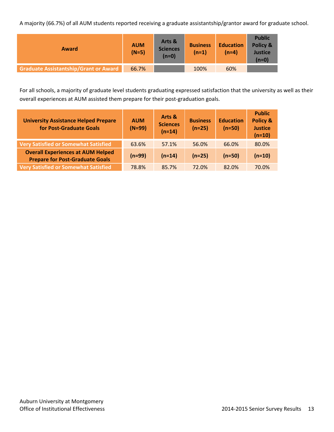A majority (66.7%) of all AUM students reported receiving a graduate assistantship/grantor award for graduate school.

| Award                                        | <b>AUM</b><br>$(N=5)$ | Arts &<br><b>Sciences</b><br>$(n=0)$ | <b>Business</b><br>$(n=1)$ | <b>Education</b><br>(n=4) | <b>Public</b><br>Policy &<br><b>Justice</b><br>$(n=0)$ |
|----------------------------------------------|-----------------------|--------------------------------------|----------------------------|---------------------------|--------------------------------------------------------|
| <b>Graduate Assistantship/Grant or Award</b> | 66.7%                 |                                      | 100%                       | 60%                       |                                                        |

For all schools, a majority of graduate level students graduating expressed satisfaction that the university as well as their overall experiences at AUM assisted them prepare for their post-graduation goals.

| <b>University Assistance Helped Prepare</b><br>for Post-Graduate Goals             | <b>AUM</b><br>$(N=99)$ | Arts &<br><b>Sciences</b><br>$(n=14)$ | <b>Business</b><br>$(n=25)$ | <b>Education</b><br>$(n=50)$ | <b>Public</b><br><b>Policy &amp;</b><br><b>Justice</b><br>$(n=10)$ |
|------------------------------------------------------------------------------------|------------------------|---------------------------------------|-----------------------------|------------------------------|--------------------------------------------------------------------|
| <b>Very Satisfied or Somewhat Satisfied</b>                                        | 63.6%                  | 57.1%                                 | 56.0%                       | 66.0%                        | 80.0%                                                              |
| <b>Overall Experiences at AUM Helped</b><br><b>Prepare for Post-Graduate Goals</b> | $(n=99)$               | $(n=14)$                              | $(n=25)$                    | $(n=50)$                     | $(n=10)$                                                           |
| <b>Very Satisfied or Somewhat Satisfied</b>                                        | 78.8%                  | 85.7%                                 | 72.0%                       | 82.0%                        | 70.0%                                                              |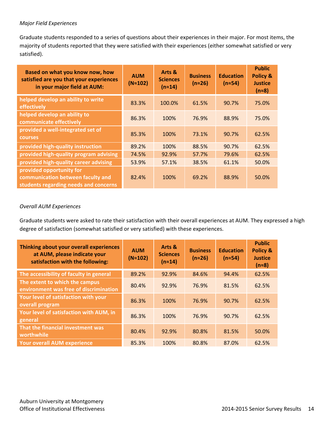#### *Major Field Experiences*

Graduate students responded to a series of questions about their experiences in their major. For most items, the majority of students reported that they were satisfied with their experiences (either somewhat satisfied or very satisfied).

| Based on what you know now, how<br>satisfied are you that your experiences<br>in your major field at AUM: | <b>AUM</b><br>$(N \approx 102)$ | Arts &<br><b>Sciences</b><br>$(n \approx 14)$ | <b>Business</b><br>$(n \approx 26)$ | <b>Education</b><br>$(n \approx 54)$ | <b>Public</b><br><b>Policy &amp;</b><br><b>Justice</b><br>$(n=8)$ |
|-----------------------------------------------------------------------------------------------------------|---------------------------------|-----------------------------------------------|-------------------------------------|--------------------------------------|-------------------------------------------------------------------|
| helped develop an ability to write<br>effectively                                                         | 83.3%                           | 100.0%                                        | 61.5%                               | 90.7%                                | 75.0%                                                             |
| helped develop an ability to<br>communicate effectively                                                   | 86.3%                           | 100%                                          | 76.9%                               | 88.9%                                | 75.0%                                                             |
| provided a well-integrated set of<br><b>courses</b>                                                       | 85.3%                           | 100%                                          | 73.1%                               | 90.7%                                | 62.5%                                                             |
| provided high-quality instruction                                                                         | 89.2%                           | 100%                                          | 88.5%                               | 90.7%                                | 62.5%                                                             |
| provided high-quality program advising                                                                    | 74.5%                           | 92.9%                                         | 57.7%                               | 79.6%                                | 62.5%                                                             |
| provided high-quality career advising                                                                     | 53.9%                           | 57.1%                                         | 38.5%                               | 61.1%                                | 50.0%                                                             |
| provided opportunity for<br>communication between faculty and<br>students regarding needs and concerns    | 82.4%                           | 100%                                          | 69.2%                               | 88.9%                                | 50.0%                                                             |

#### *Overall AUM Experiences*

Graduate students were asked to rate their satisfaction with their overall experiences at AUM. They expressed a high degree of satisfaction (somewhat satisfied or very satisfied) with these experiences.

| Thinking about your overall experiences<br>at AUM, please indicate your<br>satisfaction with the following: | <b>AUM</b><br>$(N \approx 102)$ | Arts &<br><b>Sciences</b><br>$(n \approx 14)$ | <b>Business</b><br>$(n \approx 26)$ | <b>Education</b><br>$(n \approx 54)$ | <b>Public</b><br>Policy &<br><b>Justice</b><br>$(n=8)$ |
|-------------------------------------------------------------------------------------------------------------|---------------------------------|-----------------------------------------------|-------------------------------------|--------------------------------------|--------------------------------------------------------|
| The accessibility of faculty in general                                                                     | 89.2%                           | 92.9%                                         | 84.6%                               | 94.4%                                | 62.5%                                                  |
| The extent to which the campus<br>environment was free of discrimination                                    | 80.4%                           | 92.9%                                         | 76.9%                               | 81.5%                                | 62.5%                                                  |
| Your level of satisfaction with your<br>overall program                                                     | 86.3%                           | 100%                                          | 76.9%                               | 90.7%                                | 62.5%                                                  |
| Your level of satisfaction with AUM, in<br>general                                                          | 86.3%                           | 100%                                          | 76.9%                               | 90.7%                                | 62.5%                                                  |
| That the financial investment was<br>worthwhile                                                             | 80.4%                           | 92.9%                                         | 80.8%                               | 81.5%                                | 50.0%                                                  |
| <b>Your overall AUM experience</b>                                                                          | 85.3%                           | 100%                                          | 80.8%                               | 87.0%                                | 62.5%                                                  |